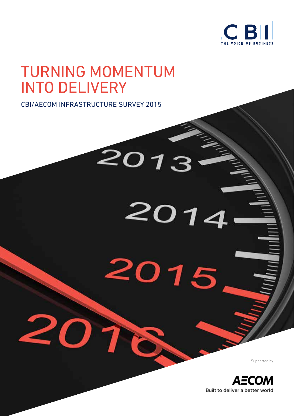

# TURNING MOMENTUM INTO DELIVERY

2013

2014

2015

7

D

CBI/AECOM INFRASTRUCTURE SURVEY 2015

Supported by

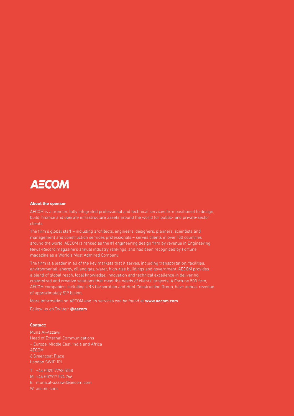

#### **About the sponsor**

AECOM is a premier, fully integrated professional and technical services firm positioned to design, build, finance and operate infrastructure assets around the world for public- and private-sector clients.

The firm's global staff – including architects, engineers, designers, planners, scientists and management and construction services professionals – serves clients in over 150 countries around the world. AECOM is ranked as the #1 engineering design firm by revenue in Engineering News-Record magazine's annual industry rankings, and has been recognized by Fortune magazine as a World's Most Admired Company.

The firm is a leader in all of the key markets that it serves, including transportation, facilities, environmental, energy, oil and gas, water, high-rise buildings and government. AECOM provides a blend of global reach, local knowledge, innovation and technical excellence in delivering customized and creative solutions that meet the needs of clients' projects. A Fortune 500 firm, AECOM companies, including URS Corporation and Hunt Construction Group, have annual revenue of approximately \$19 billion.

More information on AECOM and its services can be found at www.aecom.com.

Follow us on Twitter: @aecom

#### **Contact:**

Muna Al-Azzawi Head of External Communications – Europe, Middle East, India and Africa AECOM 6 Greencoat Place London SW1P 1PL

T: +44 (0)20 7798 5158 M: +44 (0)7917 574 766 E: muna.al-azzawi@aecom.com W: aecom.com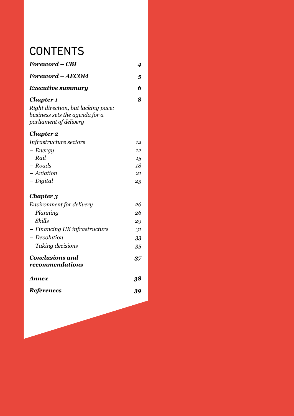# **CONTENTS**

| Foreword – CBI                                                                                 | 4  |
|------------------------------------------------------------------------------------------------|----|
| <b>Foreword - AECOM</b>                                                                        | 5  |
| <b>Executive summary</b>                                                                       | 6  |
| <b>Chapter 1</b>                                                                               | 8  |
| Right direction, but lacking pace:<br>business sets the agenda for a<br>parliament of delivery |    |
| <b>Chapter 2</b>                                                                               |    |
| Infrastructure sectors                                                                         | 12 |
| $-$ <i>Energy</i>                                                                              | 12 |
| - Rail                                                                                         | 15 |
| $-$ Roads                                                                                      | 18 |
| - Aviation                                                                                     | 21 |
| - Digital                                                                                      | 23 |
| Chapter 3                                                                                      |    |
| Environment for delivery                                                                       | 26 |
| - Planning                                                                                     | 26 |
| - Skills                                                                                       | 29 |
| - Financing UK infrastructure                                                                  | 31 |
| - Devolution                                                                                   | 33 |
| - Taking decisions                                                                             | 35 |
| <b>Conclusions and</b><br>recommendations                                                      | 37 |
| Annex                                                                                          | 38 |
| <b>References</b>                                                                              | 39 |
|                                                                                                |    |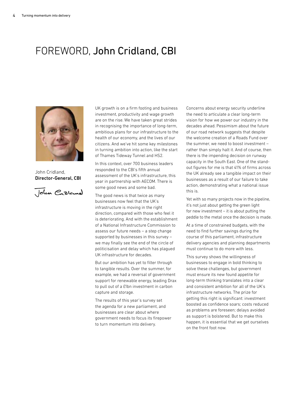# FOREWORD, John Cridland, CBI



John Cridland, Director-General, CBI

John Cratcural

UK growth is on a firm footing and business investment, productivity and wage growth are on the rise. We have taken great strides in recognising the importance of long-term, ambitious plans for our infrastructure to the health of our economy, and the lives of our citizens. And we've hit some key milestones in turning ambition into action, like the start of Thames Tideway Tunnel and HS2.

In this context, over 700 business leaders responded to the CBI's fifth annual assessment of the UK's infrastructure, this year in partnership with AECOM. There is some good news and some bad.

The good news is that twice as many businesses now feel that the UK's infrastructure is moving in the right direction, compared with those who feel it is deteriorating. And with the establishment of a National Infrastructure Commission to assess our future needs – a step change supported by businesses in this survey – we may finally see the end of the circle of politicisation and delay which has plagued UK infrastructure for decades.

But our ambition has yet to filter through to tangible results. Over the summer, for example, we had a reversal of government support for renewable energy, leading Drax to pull out of a £1bn investment in carbon capture and storage.

The results of this year's survey set the agenda for a new parliament, and businesses are clear about where government needs to focus its firepower to turn momentum into delivery.

Concerns about energy security underline the need to articulate a clear long-term vision for how we power our industry in the decades ahead. Pessimism about the future of our road network suggests that despite the welcome creation of a Roads Fund over the summer, we need to boost investment – rather than simply halt it. And of course, then there is the impending decision on runway capacity in the South East. One of the standout figures for me is that 41% of firms across the UK already see a tangible impact on their businesses as a result of our failure to take action, demonstrating what a national issue this is.

Yet with so many projects now in the pipeline, it's not just about getting the green light for new investment – it is about putting the peddle to the metal once the decision is made.

At a time of constrained budgets, with the need to find further savings during the course of this parliament, infrastructure delivery agencies and planning departments must continue to do more with less.

This survey shows the willingness of businesses to engage in bold thinking to solve these challenges, but government must ensure its new found appetite for long-term thinking translates into a clear and consistent ambition for all of the UK's infrastructure networks. The prize for getting this right is significant: investment boosted as confidence soars; costs reduced as problems are foreseen; delays avoided as support is bolstered. But to make this happen, it is essential that we get ourselves on the front foot now.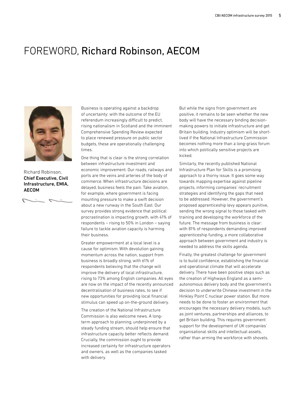## FOREWORD, Richard Robinson, AECOM



Richard Robinson, Chief Executive, Civil Infrastructure, EMIA, AECOM

 $\mathcal{L}$ 

Business is operating against a backdrop of uncertainty: with the outcome of the EU referendum increasingly difficult to predict, rising nationalism in Scotland and the imminent Comprehensive Spending Review expected to place renewed pressure on public sector budgets, these are operationally challenging times.

One thing that is clear is the strong correlation between infrastructure investment and economic improvement. Our roads, railways and ports are the veins and arteries of the body of commerce. When infrastructure decisions are delayed, business feels the pain. Take aviation, for example, where government is facing mounting pressure to make a swift decision about a new runway in the South East. Our survey provides strong evidence that political procrastination is impacting growth, with 41% of respondents – rising to 50% in London – saying failure to tackle aviation capacity is harming their business.

Greater empowerment at a local level is a cause for optimism. With devolution gaining momentum across the nation, support from business is broadly strong, with 61% of respondents believing that the change will improve the delivery of local infrastructure, rising to 73% among English companies. All eyes are now on the impact of the recently announced decentralisation of business rates, to see if new opportunities for providing local financial stimulus can speed up on-the-ground delivery.

The creation of the National Infrastructure Commission is also welcome news. A longterm approach to planning, underpinned by a steady funding stream, should help ensure that infrastructure capacity better reflects demand. Crucially, the commission ought to provide increased certainty for infrastructure operators and owners, as well as the companies tasked with delivery.

But while the signs from government are positive, it remains to be seen whether the new body will have the necessary binding decisionmaking powers to initiate infrastructure and get Britain building. Industry optimism will be shortlived if the National Infrastructure Commission becomes nothing more than a long-grass forum into which politically sensitive projects are kicked.

Similarly, the recently published National Infrastructure Plan for Skills is a promising approach to a thorny issue. It goes some way towards mapping expertise against pipeline projects, informing companies' recruitment strategies and identifying the gaps that need to be addressed. However, the government's proposed apprenticeship levy appears punitive, sending the wrong signal to those tasked with training and developing the workforce of the future. The message from business is clear: with 81% of respondents demanding improved apprenticeship funding, a more collaborative approach between government and industry is needed to address the skills agenda.

Finally, the greatest challenge for government is to build confidence, establishing the financial and operational climate that will accelerate delivery. There have been positive steps such as the creation of Highways England as a semiautonomous delivery body and the government's decision to underwrite Chinese investment in the Hinkley Point C nuclear power station. But more needs to be done to foster an environment that encourages the necessary delivery models, such as joint ventures, partnerships and alliances, to get Britain building. This requires government support for the development of UK companies' organisational skills and intellectual assets, rather than arming the workforce with shovels.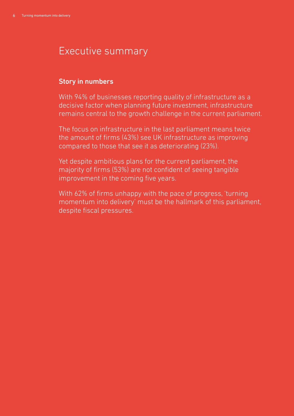## Executive summary

### Story in numbers

With 94% of businesses reporting quality of infrastructure as a decisive factor when planning future investment, infrastructure remains central to the growth challenge in the current parliament.

The focus on infrastructure in the last parliament means twice the amount of firms (43%) see UK infrastructure as improving compared to those that see it as deteriorating (23%).

Yet despite ambitious plans for the current parliament, the majority of firms (53%) are not confident of seeing tangible improvement in the coming five years.

With 62% of firms unhappy with the pace of progress, 'turning momentum into delivery' must be the hallmark of this parliament, despite fiscal pressures.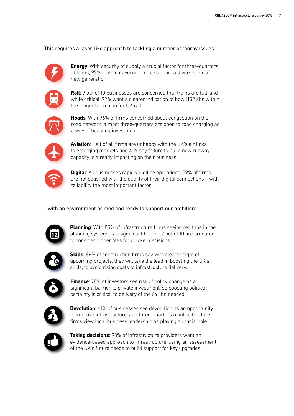This requires a laser-like approach to tackling a number of thorny issues…



**Energy**: With security of supply a crucial factor for three-quarters of firms, 97% look to government to support a diverse mix of new generation.



**Rail**: 9 out of 10 businesses are concerned that trains are full, and while critical, 92% want a clearer indication of how HS2 sits within the longer term plan for UK rail.



**Roads**: With 96% of firms concerned about congestion on the road network, almost three-quarters are open to road charging as a way of boosting investment.



**Aviation**: Half of all firms are unhappy with the UK's air links to emerging markets and 41% say failure to build new runway capacity is already impacting on their business.



**Digital**: As businesses rapidly digitise operations, 59% of firms are not satisfied with the quality of their digital connections – with reliability the most important factor.

#### …with an environment primed and ready to support our ambition:



**Planning**: With 85% of infrastructure firms seeing red tape in the planning system as a significant barrier, 7 out of 10 are prepared to consider higher fees for quicker decisions.



**Skills**: 86% of construction firms say with clearer sight of upcoming projects, they will take the lead in boosting the UK's skills, to avoid rising costs to infrastructure delivery.



**Finance**: 78% of investors see risk of policy change as a significant barrier to private investment, so boosting political certainty is critical to delivery of the £411bn needed.



**Devolution**: 61% of businesses see devolution as an opportunity to improve infrastructure, and three-quarters of infrastructure firms view local business leadership as playing a crucial role.



**Taking decisions**: 98% of infrastructure providers want an evidence-based approach to infrastructure, using an assessment of the UK's future needs to build support for key upgrades.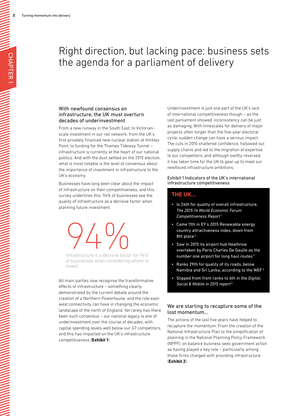# Right direction, but lacking pace: business sets the agenda for a parliament of delivery

#### With newfound consensus on infrastructure, the UK must overturn decades of underinvestment

From a new runway in the South East, to Victorianscale investment in our rail network; from the UK's first privately financed new nuclear station at Hinkley Point, to funding for the Thames Tideway Tunnel – infrastructure is currently at the heart of our national politics. And with the dust settled on the 2015 election, what is most notable is the level of consensus about the importance of investment in infrastructure to the UK's economy.

Businesses have long been clear about the impact of infrastructure on their competitiveness, and this survey underlines this. 94% of businesses see the quality of infrastructure as a decisive factor when planning future investment.

 $94\%$ 

Infrastructure is a decisive factor for 94% of businesses when considering where to invest

All main parties now recognise the transformative effects of infrastructure – something clearly demonstrated by the current debate around the creation of a Northern Powerhouse, and the role eastwest connectivity can have in changing the economic landscape of the north of England. Yet rarely has there been such consensus – our national legacy is one of underinvestment over the course of decades, with capital spending levels well below our G7 competitors, and this has impacted on the UK's infrastructure competitiveness (**Exhibit 1**).

Underinvestment is just one part of the UK's lack of international competitiveness though – as the last parliament showed, inconsistency can be just as damaging. With timescales for delivery of major projects often longer than the five-year electoral cycle, sudden change can have a serious impact. The cuts in 2010 shattered confidence, hollowed out supply chains and led to the migration of expertise to our competitors, and although swiftly reversed, it has taken time for the UK to gear up to meet our newfound infrastructure ambitions.

#### Exhibit 1 Indicators of the UK's international infrastructure competitiveness

#### **THE UK…**

- Is 24th for quality of overall infrastructure, *The 2015-16 World Economic Forum Competitiveness Report* <sup>1</sup>
- Came 11th in EY's 2015 Renewable energy country attractiveness index, down from 8th place<sup>2</sup>
- Saw in 2015 its airport hub Heathrow overtaken by Paris Charles De Gaulle as the number one airport for long haul routes<sup>3</sup>
- Ranks 29th for quality of its roads, below Namibia and Sri Lanka, according to the WEF<sup>4</sup>
- Slipped from front ranks to 6th in the *Digital, Social & Mobile in 2015 report* <sup>5</sup>

#### We are starting to recapture some of the lost momentum…

The actions of the last five years have helped to recapture the momentum. From the creation of the National Infrastructure Plan to the simplification of planning in the National Planning Policy Framework (NPPF), on balance business sees government action as having played a key role – particularly among those firms charged with providing infrastructure (**Exhibit 2**).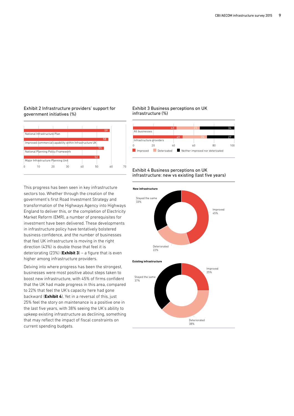#### Exhibit 2 Infrastructure providers' support for government initiatives (%)



This progress has been seen in key infrastructure sectors too. Whether through the creation of the government's first Road Investment Strategy and transformation of the Highways Agency into Highways England to deliver this, or the completion of Electricity Market Reform (EMR), a number of prerequisites for investment have been delivered. These developments in infrastructure policy have tentatively bolstered business confidence, and the number of businesses that feel UK infrastructure is moving in the right direction (43%) is double those that feel it is deteriorating (23%) (**Exhibit 3**) – a figure that is even higher among infrastructure providers.

Delving into where progress has been the strongest, businesses were most positive about steps taken to boost new infrastructure, with 45% of firms confident that the UK had made progress in this area, compared to 22% that feel the UK's capacity here had gone backward (**Exhibit 4**). Yet in a reversal of this, just 25% feel the story on maintenance is a positive one in the last five years, with 38% seeing the UK's ability to upkeep existing infrastructure as declining, something that may reflect the impact of fiscal constraints on current spending budgets.

#### Exhibit 3 Business perceptions on UK infrastructure (%)



#### Exhibit 4 Business perceptions on UK infrastructure: new vs existing (last five years)



Deteriorated 38%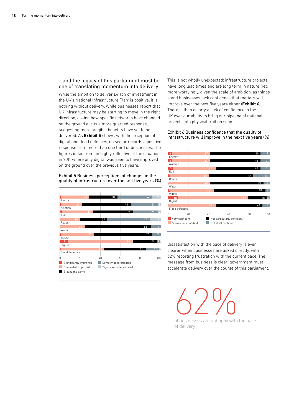#### …and the legacy of this parliament must be one of translating momentum into delivery

While the ambition to deliver £411bn of investment in the UK's National Infrastructure Plan<sup>6</sup> is positive, it is nothing without delivery. While businesses report that UK infrastructure may be starting to move in the right direction, asking how specific networks have changed on the ground elicits a more guarded response, suggesting more tangible benefits have yet to be delivered. As **Exhibit 5** shows, with the exception of digital and flood defences, no sector records a positive response from more than one third of businesses. The figures in fact remain highly reflective of the situation in 2011 where only digital was seen to have improved on the ground over the previous five years.

#### Exhibit 5 Business perceptions of changes in the quality of infrastructure over the last five years (%)



This is not wholly unexpected: infrastructure projects have long lead times and are long term in nature. Yet, more worryingly, given the scale of ambition, as things stand businesses lack confidence that matters will improve over the next five years either (**Exhibit 6**). There is then clearly a lack of confidence in the UK over our ability to bring our pipeline of national projects into physical fruition soon.

Exhibit 6 Business confidence that the quality of infrastructure will improve in the next five years (%)



Dissatisfaction with the pace of delivery is even clearer when businesses are asked directly, with 62% reporting frustration with the current pace. The message from business is clear: government must accelerate delivery over the course of this parliament.

 $62\%$ 

of businesses are unhappy with the pace of delivery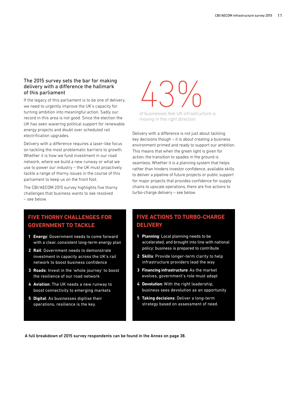#### The 2015 survey sets the bar for making delivery with a difference the hallmark of this parliament

If the legacy of this parliament is to be one of delivery, we need to urgently improve the UK's capacity for turning ambition into meaningful action. Sadly our record in this area is not good. Since the election the UK has seen wavering political support for renewable energy projects and doubt over scheduled rail electrification upgrades.

Delivery with a difference requires a laser-like focus on tackling the most problematic barriers to growth. Whether it is how we fund investment in our road network, where we build a new runway or what we use to power our industry – the UK must proactively tackle a range of thorny issues in the course of this parliament to keep us on the front foot.

The CBI/AECOM 2015 survey highlights five thorny challenges that business wants to see resolved – see below.

### **FIVE THORNY CHALLENGES FOR GOVERNMENT TO TACKLE**

- **1 Energy**: Government needs to come forward with a clear, consistent long-term energy plan
- **2 Rail**: Government needs to demonstrate investment in capacity across the UK's rail network to boost business confidence
- **3 Roads**: Invest in the 'whole journey' to boost the resilience of our road network
- **4 Aviation**: The UK needs a new runway to boost connectivity to emerging markets
- **5 Digital**: As businesses digitise their operations, resilience is the key.

# $\bigcup_{\text{of business}} 9$

of businesses feel UK infrastructure is moving in the right direction

Delivery with a difference is not just about tackling key decisions though – it is about creating a business environment primed and ready to support our ambition. This means that when the green light is given for action, the transition to spades in the ground is seamless. Whether it is a planning system that helps rather than hinders investor confidence, available skills to deliver a pipeline of future projects or public support for major projects that provides confidence for supply chains to upscale operations, there are five actions to turbo-charge delivery – see below.

### **FIVE ACTIONS TO TURBO-CHARGE DELIVERY**

- **1 Planning**: Local planning needs to be accelerated, and brought into line with national policy: business is prepared to contribute
- **2 Skills**: Provide longer-term clarity to help infrastructure providers lead the way
- **3 Financing infrastructure**: As the market evolves, government's role must adapt
- **4 Devolution**: With the right leadership, business sees devolution as an opportunity
- **5 Taking decisions**: Deliver a long-term strategy based on assessment of need.

A full breakdown of 2015 survey respondents can be found in the Annex on page 38.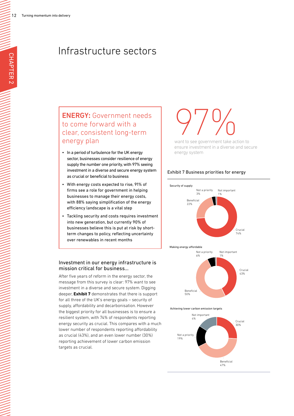## Infrastructure sectors

## ENERGY**:** Government needs to come forward with a clear, consistent long-term energy plan

- In a period of turbulence for the UK energy sector, businesses consider resilience of energy supply the number one priority, with 97% seeing investment in a diverse and secure energy system as crucial or beneficial to business
- With energy costs expected to rise, 91% of firms see a role for government in helping businesses to manage their energy costs, with 88% saying simplification of the energy efficiency landscape is a vital step
- Tackling security and costs requires investment into new generation, but currently 90% of businesses believe this is put at risk by shortterm changes to policy, reflecting uncertainty over renewables in recent months

#### Investment in our energy infrastructure is mission critical for business…

After five years of reform in the energy sector, the message from this survey is clear: 97% want to see investment in a diverse and secure system. Digging deeper, **Exhibit 7** demonstrates that there is support for all three of the UK's energy goals – security of supply, affordability and decarbonisation. However the biggest priority for all businesses is to ensure a resilient system, with 74% of respondents reporting energy security as crucial. This compares with a much lower number of respondents reporting affordability as crucial (43%), and an even lower number (30%) reporting achievement of lower carbon emission targets as crucial.

# $970/$

want to see government take action to ensure investment in a diverse and secure energy system

#### Exhibit 7 Business priorities for energy



Making energy affordable



#### Achieving lower carbon emission targets

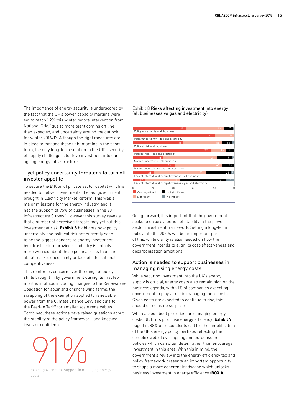The importance of energy security is underscored by the fact that the UK's power capacity margins were set to reach 1.2% this winter before intervention from National Grid,<sup>7</sup> due to more plant coming off line than expected, and uncertainty around the outlook for winter 2016/17. Although the right measures are in place to manage these tight margins in the short term, the only long-term solution to the UK's security of supply challenge is to drive investment into our ageing energy infrastructure.

#### …yet policy uncertainty threatens to turn off investor appetite

To secure the £110bn of private sector capital which is needed to deliver investments, the last government brought in Electricity Market Reform. This was a major milestone for the energy industry, and it had the support of 95% of businesses in the 2014 Infrastructure Survey.<sup>8</sup> However this survey reveals that a number of perceived threats may yet put this investment at risk. **Exhibit 8** highlights how policy uncertainty and political risk are currently seen to be the biggest dangers to energy investment by infrastructure providers. Industry is notably more worried about these political risks than it is about market uncertainty or lack of international competitiveness.

This reinforces concern over the range of policy shifts brought in by government during its first few months in office, including changes to the Renewables Obligation for solar and onshore wind farms, the scrapping of the exemption applied to renewable power from the Climate Change Levy and cuts to the Feed-In Tariff for smaller scale renewables. Combined, these actions have raised questions about the stability of the policy framework, and knocked investor confidence.



expect government support in managing energy costs

#### Exhibit 8 Risks affecting investment into energy (all businesses vs gas and electricity)



Going forward, it is important that the government seeks to ensure a period of stability in the power sector investment framework. Setting a long-term policy into the 2020s will be an important part of this, while clarity is also needed on how the government intends to align its cost-effectiveness and decarbonisation ambitions.

#### Action is needed to support businesses in managing rising energy costs

While securing investment into the UK's energy supply is crucial, energy costs also remain high on the business agenda, with 91% of companies expecting government to play a role in managing these costs. Given costs are expected to continue to rise, this should come as no surprise.

When asked about priorities for managing energy costs, UK firms prioritise energy efficiency (**Exhibit 9**, page 14). 88% of respondents call for the simplification of the UK's energy policy, perhaps reflecting the complex web of overlapping and burdensome policies which can often deter, rather than encourage, investment in this area. With this in mind, the government's review into the energy efficiency tax and policy framework presents an important opportunity to shape a more coherent landscape which unlocks business investment in energy efficiency (**BOX A**).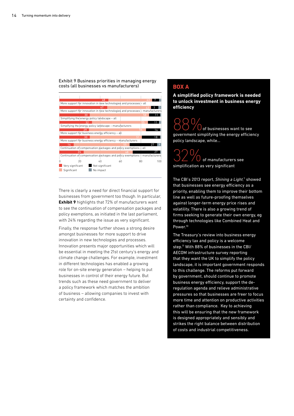



There is clearly a need for direct financial support for businesses from government too though. In particular, **Exhibit 9** highlights that 72% of manufacturers want to see the continuation of compensation packages and policy exemptions, as initiated in the last parliament, with 24% regarding the issue as very significant.

Finally, the response further shows a strong desire amongst businesses for more support to drive innovation in new technologies and processes. Innovation presents major opportunities which will be essential in meeting the 21st century's energy and climate change challenges. For example, investment in different technologies has enabled a growing role for on-site energy generation – helping to put businesses in control of their energy future. But trends such as these need government to deliver a policy framework which matches the ambition of business – allowing companies to invest with certainty and confidence.

#### **BOX A**

**A simplified policy framework is needed to unlock investment in business energy efficiency**

 $\bigcup$  of businesses want to see government simplifying the energy efficiency policy landscape, while…

**322** of manufacturers see simplification as very significant

The CBI's 2013 report, Shining a Light,<sup>9</sup> showed that businesses see energy efficiency as a priority, enabling them to improve their bottom line as well as future-proofing themselves against longer-term energy price rises and volatility. There is also a growing trend of firms seeking to generate their own energy, eg through technologies like Combined Heat and Power.<sup>10</sup>

The Treasury's review into business energy efficiency tax and policy is a welcome step.<sup>11</sup> With 88% of businesses in the CBI/ AECOM infrastructure survey reporting that they want the UK to simplify the policy landscape, it is important government responds to this challenge. The reforms put forward by government, should continue to promote business energy efficiency, support the deregulation agenda and relieve administrative pressures so that businesses are freer to focus more time and attention on productive activities rather than compliance. Key to achieving this will be ensuring that the new framework is designed appropriately and sensibly and strikes the right balance between distribution of costs and industrial competitiveness.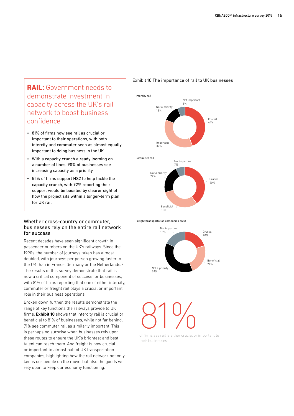## **RAIL:** Government needs to demonstrate investment in capacity across the UK's rail network to boost business confidence

- 81% of firms now see rail as crucial or important to their operations, with both intercity and commuter seen as almost equally important to doing business in the UK
- With a capacity crunch already looming on a number of lines, 90% of businesses see increasing capacity as a priority
- 55% of firms support HS2 to help tackle the capacity crunch, with 92% reporting their support would be boosted by clearer sight of how the project sits within a longer-term plan for UK rail

#### Whether cross-country or commuter, businesses rely on the entire rail network for success

Recent decades have seen significant growth in passenger numbers on the UK's railways. Since the 1990s, the number of journeys taken has almost doubled, with journeys per person growing faster in the UK than in France, Germany or the Netherlands.<sup>12</sup> The results of this survey demonstrate that rail is now a critical component of success for businesses, with 81% of firms reporting that one of either intercity, commuter or freight rail plays a crucial or important role in their business operations.

Broken down further, the results demonstrate the range of key functions the railways provide to UK firms. **Exhibit 10** shows that intercity rail is crucial or beneficial to 81% of businesses, while not far behind, 71% see commuter rail as similarly important. This is perhaps no surprise when businesses rely upon these routes to ensure the UK's brightest and best talent can reach them. And freight is now crucial or important to almost half of UK transportation companies, highlighting how the rail network not only keeps our people on the move, but also the goods we rely upon to keep our economy functioning.

#### Exhibit 10 The importance of rail to UK businesses



Freight (transportation companies only)



# $81\%$

of firms say rail is either crucial or important to their businesses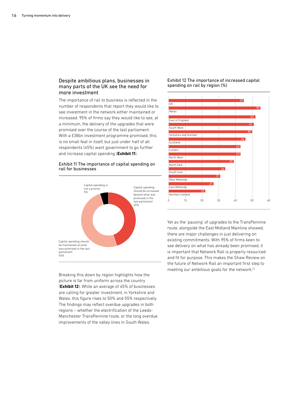#### Despite ambitious plans, businesses in many parts of the UK see the need for more investment

The importance of rail to business is reflected in the number of respondents that report they would like to see investment in the network either maintained or increased. 95% of firms say they would like to see, at a minimum, the delivery of the upgrades that were promised over the course of the last parliament. With a £38bn investment programme promised, this is no small feat in itself, but just under half of all respondents (45%) want government to go further and increase capital spending (**Exhibit 11**).

#### Exhibit 11 The importance of capital spending on rail for businesses



Breaking this down by region highlights how the picture is far from uniform across the country (**Exhibit 12**). While an average of 45% of businesses are calling for greater investment, in Yorkshire and Wales, this figure rises to 50% and 55% respectively. The findings may reflect overdue upgrades in both regions – whether the electrification of the Leeds-Manchester TransPennine route, or the long overdue improvements of the valley lines in South Wales.

Exhibit 12 The importance of increased capital spending on rail by region (%)



Yet as the 'pausing' of upgrades to the TransPennine route, alongside the East Midland Mainline showed, there are major challenges in just delivering on existing commitments. With 95% of firms keen to see delivery on what has already been promised, it is important that Network Rail is properly resourced and fit for purpose. This makes the Shaw Review on the future of Network Rail an important first step to meeting our ambitious goals for the network.13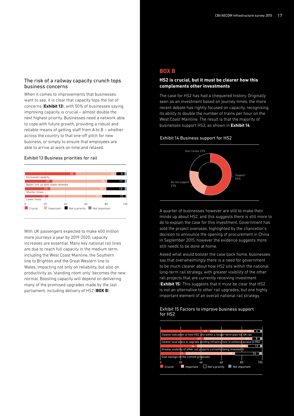#### The risk of a railway capacity crunch tops business concerns

When it comes to improvements that businesses want to see, it is clear that capacity tops the list of concerns (**Exhibit 13**), with 50% of businesses saying improving capacity is crucial – almost double the next highest priority. Businesses need a network able to cope with future growth, providing a robust and reliable means of getting staff from A to B – whether across the country to that one-off pitch for new business, or simply to ensure that employees are able to arrive at work on time and relaxed.

#### Exhibit 13 Business priorities for rail



With UK passengers expected to make 400 million more journeys a year by 2019-2020, capacity increases are essential. Many key national rail lines are due to reach full capacity in the medium term, including the West Coast Mainline, the Southern line to Brighton and the Great Western line to Wales, impacting not only on reliability, but also on productivity as 'standing room only' becomes the new normal. Boosting capacity will depend on delivering many of the promised upgrades made by the last parliament, including delivery of HS2 (**BOX B**).

#### **BOX B**

#### **HS2 is crucial, but it must be clearer how this complements other investments**

The case for HS2 has had a chequered history. Originally seen as an investment based on journey times, the more recent debate has rightly focused on capacity, recognising its ability to double the number of trains per hour on the West Coast Mainline. The result is that the majority of businesses support HS2, as shown in **Exhibit 14**.

#### Exhibit 14 Business support for HS2



A quarter of businesses however are still to make their minds up about HS2, and this suggests there is still more to do to explain the case for this investment. Government has sold the project overseas, highlighted by the chancellor's decision to announce the opening of procurement in China in September 2015, however the evidence suggests more still needs to be done at home.

Asked what would bolster the case back home, businesses say that overwhelmingly there is a need for government to be much clearer about how HS2 sits within the national long-term rail strategy, with greater visibility of the other rail projects that are currently receiving investment (**Exhibit 15**). This suggests that it must be clear that HS2 is not an alternative to other rail upgrades, but one highly important element of an overall national rail strategy.

#### Exhibit 15 Factors to improve business support for HS2

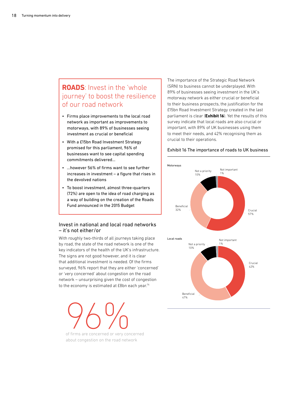## **ROADS**: Invest in the 'whole journey' to boost the resilience of our road network

- Firms place improvements to the local road network as important as improvements to motorways, with 89% of businesses seeing investment as crucial or beneficial
- With a £15bn Road Investment Strategy promised for this parliament, 96% of businesses want to see capital spending commitments delivered…
- …however 56% of firms want to see further increases in investment – a figure that rises in the devolved nations
- To boost investment, almost three-quarters (72%) are open to the idea of road charging as a way of building on the creation of the Roads Fund announced in the 2015 Budget

#### Invest in national and local road networks – it's not either/or

With roughly two-thirds of all journeys taking place by road, the state of the road network is one of the key indicators of the health of the UK's infrastructure. The signs are not good however, and it is clear that additional investment is needed. Of the firms surveyed, 96% report that they are either 'concerned' or 'very concerned' about congestion on the road network – unsurprising given the cost of congestion to the economy is estimated at £8bn each year.<sup>14</sup>

OCOO OF firms are concerned or very concerned about congestion on the road network

The importance of the Strategic Road Network (SRN) to business cannot be underplayed. With 89% of businesses seeing investment in the UK's motorway network as either crucial or beneficial to their business prospects, the justification for the £15bn Road Investment Strategy created in the last parliament is clear (**Exhibit 16**). Yet the results of this survey indicate that local roads are also crucial or important, with 89% of UK businesses using them to meet their needs, and 42% recognising them as crucial to their operations.

#### Exhibit 16 The importance of roads to UK business

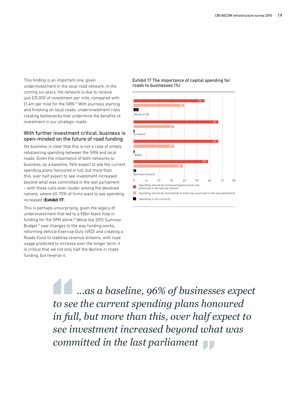This finding is an important one, given underinvestment in the local road network. In the coming six years, the network is due to receive just £31,000 of investment per mile, compared with £1.4m per mile for the SRN.15 With journeys starting and finishing on local roads, underinvestment risks creating bottlenecks that undermine the benefits of investment in our strategic roads.

#### With further investment critical, business is open-minded on the future of road funding

Yet business is clear that this is not a case of simply rebalancing spending between the SRN and local roads. Given the importance of both networks to business, as a baseline, 96% expect to see the current spending plans honoured in full, but more than this, over half expect to see investment increased beyond what was committed in the last parliament – with these calls even louder among the devolved nations, where 60-70% of firms want to see spending increased (**Exhibit 17**).

This is perhaps unsurprising, given the legacy of underinvestment that led to a £8bn black hole in funding for the SRN alone.16 While the 2015 Summer Budget<sup>17</sup> saw changes to the way funding works. reforming Vehicle Exercise Duty (VED) and creating a Roads Fund to stabilise revenue streams, with road usage predicted to increase over the longer term, it is critical that we not only halt the decline in roads funding, but reverse it.

Exhibit 17 The importance of capital spending for roads to businesses (%)



 *...as a baseline, 96% of businesses expect to see the current spending plans honoured in full, but more than this, over half expect to see investment increased beyond what was committed in the last parliament*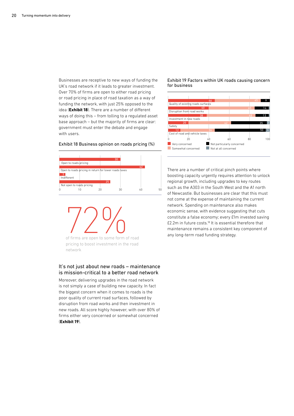Businesses are receptive to new ways of funding the UK's road network if it leads to greater investment. Over 70% of firms are open to either road pricing or road pricing in place of road taxation as a way of funding the network, with just 25% opposed to the idea (**Exhibit 18**). There are a number of different ways of doing this – from tolling to a regulated asset base approach – but the majority of firms are clear: government must enter the debate and engage with users.

0 10 20 30 40 50 Not open to roads pricing <mark>3</mark><br>Indifferent Open to roads pricing in return for lower roads taxes Open to roads pricing 30 42 25

Exhibit 18 Business opinion on roads pricing (%)

of firms are open to some form of road

pricing to boost investment in the road network

#### It's not just about new roads – maintenance is mission-critical to a better road network

Moreover, delivering upgrades in the road network is not simply a case of building new capacity. In fact the biggest concern when it comes to roads is the poor quality of current road surfaces, followed by disruption from road works and then investment in new roads. All score highly however, with over 80% of firms either very concerned or somewhat concerned (**Exhibit 19**).

Exhibit 19 Factors within UK roads causing concern for business



There are a number of critical pinch points where boosting capacity urgently requires attention to unlock regional growth, including upgrades to key routes such as the A303 in the South West and the A1 north of Newcastle. But businesses are clear that this must not come at the expense of maintaining the current network. Spending on maintenance also makes economic sense, with evidence suggesting that cuts constitute a false economy; every £1m invested saving £2.2m in future costs.18 It is essential therefore that maintenance remains a consistent key component of any long-term road funding strategy.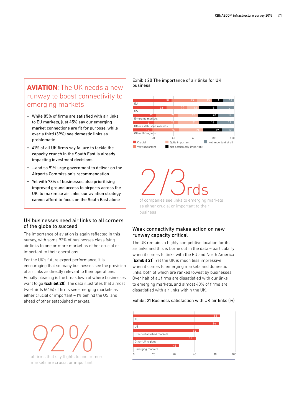## **AVIATION**: The UK needs a new runway to boost connectivity to emerging markets

- While 85% of firms are satisfied with air links to EU markets, just 45% say our emerging market connections are fit for purpose, while over a third (39%) see domestic links as problematic
- 41% of all UK firms say failure to tackle the capacity crunch in the South East is already impacting investment decisions…
- …and so 91% urge government to deliver on the Airports Commission's recommendation
- Yet with 78% of businesses also prioritising improved ground access to airports across the UK, to maximise air links, our aviation strategy cannot afford to focus on the South East alone

#### UK businesses need air links to all corners of the globe to succeed

The importance of aviation is again reflected in this survey, with some 92% of businesses classifying air links to one or more market as either crucial or important to their operations.

For the UK's future export performance, it is encouraging that so many businesses see the provision of air links as directly relevant to their operations. Equally pleasing is the breakdown of where businesses want to go (**Exhibit 20**). The data illustrates that almost two-thirds (64%) of firms see emerging markets as either crucial or important – 1% behind the US, and ahead of other established markets.

of firms that say flights to one or more markets are crucial or important

Exhibit 20 The importance of air links for UK business



of companies see links to emerging markets

as either crucial or important to their business

#### Weak connectivity makes action on new runway capacity critical

The UK remains a highly competitive location for its air links and this is borne out in the data – particularly when it comes to links with the EU and North America (**Exhibit 21**). Yet the UK is much less impressive when it comes to emerging markets and domestic links, both of which are ranked lowest by businesses. Over half of all firms are dissatisfied with our links to emerging markets, and almost 40% of firms are dissatisfied with air links within the UK.

#### Exhibit 21 Business satisfaction with UK air links (%)

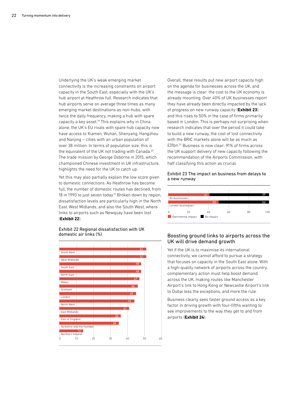Underlying the UK's weak emerging market connectivity is the increasing constraints on airport capacity in the South East, especially with the UK's hub airport at Heathrow full. Research indicates that hub airports serve on average three times as many emerging market destinations as non-hubs, with twice the daily frequency, making a hub with spare capacity a key asset.<sup>19</sup> This explains why in China alone, the UK's EU rivals with spare hub capacity now have access to Xiamen, Wuhan, Shenyang, Hangzhou and Nanjing – cities with an urban population of over 38 million. In terms of population size, this is the equivalent of the UK not trading with Canada.<sup>20</sup> The trade mission by George Osborne in 2015, which championed Chinese investment in UK infrastructure, highlights the need for the UK to catch up.

Yet this may also partially explain the low score given to domestic connections. As Heathrow has become full, the number of domestic routes has declined, from 18 in 1990 to just seven today.<sup>21</sup> Broken down by region, dissatisfaction levels are particularly high in the North East, West Midlands, and also the South West, where links to airports such as Newquay have been lost (**Exhibit 22**).



Exhibit 22 Regional dissatisfaction with UK domestic air links (%)

Overall, these results put new airport capacity high on the agenda for businesses across the UK, and the message is clear: the cost to the UK economy is already mounting. Over 40% of UK businesses report they have already been directly impacted by the lack of progress on new runway capacity (**Exhibit 23**), and this rises to 50% in the case of firms primarily based in London. This is perhaps not surprising when research indicates that over the period it could take to build a new runway, the cost of lost connectivity with the BRIC markets alone will be as much as £31bn.22 Business is now clear: 91% of firms across the UK support delivery of new capacity following the recommendation of the Airports Commission, with half classifying this action as crucial.

#### Exhibit 23 The impact on business from delays to a new runway



#### Boosting ground links to airports across the UK will drive demand growth

Yet if the UK is to maximise its international connectivity, we cannot afford to pursue a strategy that focuses on capacity in the South East alone. With a high-quality network of airports across the country, complementary action must help boost demand across the UK, making routes like Manchester Airport's link to Hong Kong or Newcastle Airport's link to Dubai less the exceptions, and more the rule.

Business clearly sees faster ground access as a key factor in driving growth with four-fifths wanting to see improvements to the way they get to and from airports (**Exhibit 24**).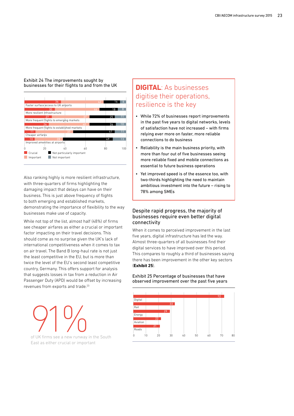Exhibit 24 The improvements sought by businesses for their flights to and from the UK



Also ranking highly is more resilient infrastructure, with three-quarters of firms highlighting the damaging impact that delays can have on their business. This is just above frequency of flights to both emerging and established markets, demonstrating the importance of flexibility to the way businesses make use of capacity.

While not top of the list, almost half (48%) of firms see cheaper airfares as either a crucial or important factor impacting on their travel decisions. This should come as no surprise given the UK's lack of international competitiveness when it comes to tax on air travel. The Band B long-haul rate is not just the least competitive in the EU, but is more than twice the level of the EU's second least competitive country, Germany. This offers support for analysis that suggests losses in tax from a reduction in Air Passenger Duty (APD) would be offset by increasing revenues from exports and trade.<sup>23</sup>

Rail Energy Rail<br>
Of UK firms see a new runway in the South and the South and the South and the South and the South and the South and the South and the South and the South and the South and the South and the South and the of UK firms see a new runway in the South East as either crucial or important

## **DIGITAL**: As businesses digitise their operations, resilience is the key

- While 72% of businesses report improvements in the past five years to digital networks, levels of satisfaction have not increased – with firms relying ever more on faster, more reliable connections to do business
- Reliability is the main business priority, with more than four out of five businesses seeing more reliable fixed and mobile connections as essential to future business operations
- Yet improved speed is of the essence too, with two-thirds highlighting the need to maintain ambitious investment into the future – rising to 78% among SMEs

#### Despite rapid progress, the majority of businesses require even better digital connectivity

When it comes to perceived improvement in the last five years, digital infrastructure has led the way. Almost three-quarters of all businesses find their digital services to have improved over this period. This compares to roughly a third of businesses saying there has been improvement in the other key sectors (**Exhibit 25**).

#### Exhibit 25 Percentage of businesses that have observed improvement over the past five years

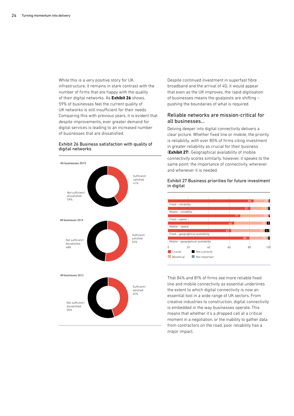While this is a very positive story for UK infrastructure, it remains in stark contrast with the number of firms that are happy with the quality of their digital networks. As **Exhibit 26** shows, 59% of businesses feel the current quality of UK networks is still insufficient for their needs. Comparing this with previous years, it is evident that despite improvements, ever greater demand for digital services is leading to an increased number of businesses that are dissatisfied.

#### Exhibit 26 Business satisfaction with quality of digital networks



Despite continued investment in superfast fibre broadband and the arrival of 4G, it would appear that even as the UK improves, the rapid digitisation of businesses means the goalposts are shifting – pushing the boundaries of what is required.

#### Reliable networks are mission-critical for all businesses…

Delving deeper into digital connectivity delivers a clear picture. Whether fixed line or mobile, the priority is reliability, with over 80% of firms citing investment in greater reliability as crucial for their business (**Exhibit 27**). Geographical availability of mobile connectivity scores similarly, however, it speaks to the same point: the importance of connectivity, wherever and whenever it is needed.





That 84% and 81% of firms see more reliable fixed line and mobile connectivity as essential underlines the extent to which digital connectivity is now an essential tool in a wide range of UK sectors. From creative industries to construction, digital connectivity is embedded in the way businesses operate. This means that whether it's a dropped call at a critical moment in a negotiation, or the inability to gather data from contractors on the road, poor reliability has a major impact.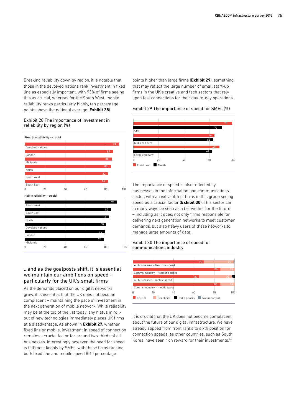Breaking reliability down by region, it is notable that those in the devolved nations rank investment in fixed line as especially important, with 93% of firms seeing this as crucial, whereas for the South West, mobile reliability ranks particularly highly, ten percentage points above the national average (**Exhibit 28**).

#### Exhibit 28 The importance of investment in reliability by region (%)



#### …and as the goalposts shift, it is essential we maintain our ambitions on speed – particularly for the UK's small firms

As the demands placed on our digital networks grow, it is essential that the UK does not become complacent – maintaining the pace of investment in the next generation of mobile network. While reliability may be at the top of the list today, any hiatus in rollout of new technologies immediately places UK firms at a disadvantage. As shown in **Exhibit 27**, whether fixed line or mobile, investment in speed of connection remains a crucial factor for around two-thirds of all businesses. Interestingly however, the need for speed is felt most keenly by SMEs, with these firms ranking both fixed line and mobile speed 8-10 percentage

points higher than large firms (**Exhibit 29**), something that may reflect the large number of small start-up firms in the UK's creative and tech sectors that rely upon fast connections for their day-to-day operations.

#### Exhibit 29 The importance of speed for SMEs (%)



The importance of speed is also reflected by businesses in the information and communications sector, with an extra fifth of firms in this group seeing speed as a crucial factor (**Exhibit 30**). This sector can in many ways be seen as a bellwether for the future – including as it does, not only firms responsible for delivering next generation networks to meet customer demands, but also heavy users of these networks to manage large amounts of data.

#### Exhibit 30 The importance of speed for communications industry



It is crucial that the UK does not become complacent about the future of our digital infrastructure. We have already slipped from front ranks to sixth position for connection speeds, as other countries, such as South Korea, have seen rich reward for their investments.24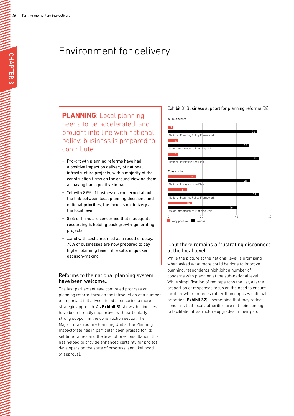# Environment for delivery

**PLANNING**: Local planning needs to be accelerated, and brought into line with national policy: business is prepared to contribute

- Pro-growth planning reforms have had a positive impact on delivery of national infrastructure projects, with a majority of the construction firms on the ground viewing them as having had a positive impact
- Yet with 89% of businesses concerned about the link between local planning decisions and national priorities, the focus is on delivery at the local level
- 82% of firms are concerned that inadequate resourcing is holding back growth-generating projects…
- ...and with costs incurred as a result of delay, 70% of businesses are now prepared to pay higher planning fees if it results in quicker decision-making

#### Reforms to the national planning system have been welcome…

The last parliament saw continued progress on planning reform, through the introduction of a number of important initiatives aimed at ensuring a more strategic approach. As **Exhibit 31** shows, businesses have been broadly supportive, with particularly strong support in the construction sector. The Major Infrastructure Planning Unit at the Planning Inspectorate has in particular been praised for its set timeframes and the level of pre-consultation: this has helped to provide enhanced certainty for project developers on the state of progress, and likelihood of approval.





#### …but there remains a frustrating disconnect at the local level

While the picture at the national level is promising, when asked what more could be done to improve planning, respondents highlight a number of concerns with planning at the sub-national level. While simplification of red tape tops the list, a large proportion of responses focus on the need to ensure local growth reinforces rather than opposes national priorities (**Exhibit 32**) – something that may reflect concerns that local authorities are not doing enough to facilitate infrastructure upgrades in their patch.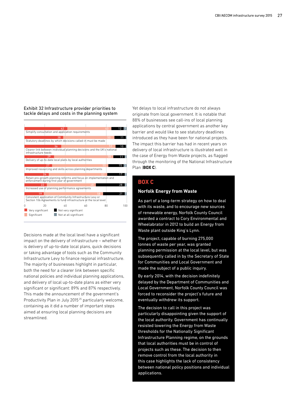#### Exhibit 32 Infrastructure provider priorities to tackle delays and costs in the planning system



Decisions made at the local level have a significant impact on the delivery of infrastructure – whether it is delivery of up-to-date local plans, quick decisions or taking advantage of tools such as the Community Infrastructure Levy to finance regional infrastructure. The majority of businesses highlight in particular, both the need for a clearer link between specific national policies and individual planning applications, and delivery of local up-to-date plans as either very significant or significant: 89% and 87% respectively. This made the announcement of the government's Productivity Plan in July 2015<sup>25</sup> particularly welcome, containing as it did a number of important steps aimed at ensuring local planning decisions are streamlined.

Yet delays to local infrastructure do not always originate from local government. It is notable that 88% of businesses see call-ins of local planning applications by central government as another key barrier and would like to see statutory deadlines introduced as they have been for national projects. The impact this barrier has had in recent years on delivery of local infrastructure is illustrated well in the case of Energy from Waste projects, as flagged through the monitoring of the National Infrastructure Plan (**BOX C**).

#### **BOX C**

#### **Norfolk Energy from Waste**

As part of a long-term strategy on how to deal with its waste, and to encourage new sources of renewable energy, Norfolk County Council awarded a contract to Cory Environmental and Wheelabrator in 2012 to build an Energy from Waste plant outside King's Lynn.

The project, capable of burning 275,000 tonnes of waste per year, was granted planning permission at the local level, but was subsequently called in by the Secretary of State for Communities and Local Government and made the subject of a public inquiry.

By early 2014, with the decision indefinitely delayed by the Department of Communities and Local Government, Norfolk County Council was forced to reconsider the project's future and eventually withdrew its support.

The decision to call in this project was particularly disappointing given the support of the local authority. Government has continually resisted lowering the Energy from Waste thresholds for the Nationally Significant Infrastructure Planning regime, on the grounds that local authorities must be in control of projects such as these. The decision to then remove control from the local authority in this case highlights the lack of consistency between national policy positions and individual applications.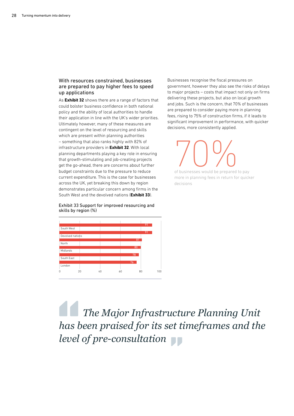#### With resources constrained, businesses are prepared to pay higher fees to speed up applications

As **Exhibit 32** shows there are a range of factors that could bolster business confidence in both national policy and the ability of local authorities to handle their application in line with the UK's wider priorities. Ultimately however, many of these measures are contingent on the level of resourcing and skills which are present within planning authorities – something that also ranks highly with 82% of infrastructure providers in **Exhibit 32**. With local planning departments playing a key role in ensuring that growth-stimulating and job-creating projects get the go-ahead, there are concerns about further budget constraints due to the pressure to reduce current expenditure. This is the case for businesses across the UK, yet breaking this down by region demonstrates particular concern among firms in the South West and the devolved nations (**Exhibit 33**).

Exhibit 33 Support for improved resourcing and skills by region (%)



Businesses recognise the fiscal pressures on government, however they also see the risks of delays to major projects – costs that impact not only on firms delivering these projects, but also on local growth and jobs. Such is the concern, that 70% of businesses are prepared to consider paying more in planning fees, rising to 75% of construction firms, if it leads to significant improvement in performance, with quicker decisions, more consistently applied.

TO OC ON OUTS OF BUSINESS WOULD be prepared to pay more in planning fees in return for quicker

decisions

 *The Major Infrastructure Planning Unit has been praised for its set timeframes and the level of pre-consultation*  **TT**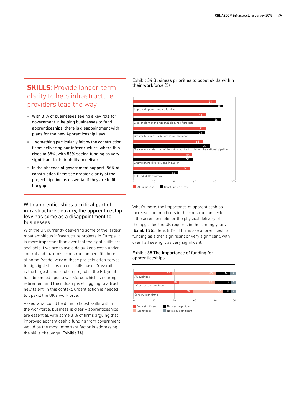## **SKILLS**: Provide longer-term clarity to help infrastructure providers lead the way

- With 81% of businesses seeing a key role for government in helping businesses to fund apprenticeships, there is disappointment with plans for the new Apprenticeship Levy…
- …something particularly felt by the construction firms delivering our infrastructure, where this rises to 88%, with 58% seeing funding as very significant to their ability to deliver
- In the absence of government support, 86% of construction firms see greater clarity of the project pipeline as essential if they are to fill the gap

#### With apprenticeships a critical part of infrastructure delivery, the apprenticeship levy has come as a disappointment to businesses

With the UK currently delivering some of the largest, most ambitious infrastructure projects in Europe, it is more important than ever that the right skills are available if we are to avoid delay, keep costs under control and maximise construction benefits here at home. Yet delivery of these projects often serves to highlight strains on our skills base. Crossrail is the largest construction project in the EU, yet it has depended upon a workforce which is nearing retirement and the industry is struggling to attract new talent. In this context, urgent action is needed to upskill the UK's workforce.

Asked what could be done to boost skills within the workforce, business is clear – apprenticeships are essential, with some 81% of firms arguing that improved apprenticeship funding from government would be the most important factor in addressing the skills challenge (**Exhibit 34**).

Exhibit 34 Business priorities to boost skills within their workforce (5)



What's more, the importance of apprenticeships increases among firms in the construction sector – those responsible for the physical delivery of the upgrades the UK requires in the coming years (**Exhibit 35**). Here, 88% of firms see apprenticeship funding as either significant or very significant, with over half seeing it as very significant.

#### Exhibit 35 The importance of funding for apprenticeships

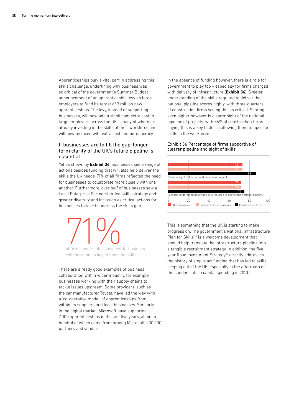Apprenticeships play a vital part in addressing this skills challenge, underlining why business was so critical of the government's Summer Budget announcement of an apprenticeship levy on large employers to fund its target of 3 million new apprenticeships. The levy, instead of supporting businesses, will now add a significant extra cost to large employers across the UK – many of whom are already investing in the skills of their workforce and will now be faced with extra cost and bureaucracy.

#### If businesses are to fill the gap, longerterm clarity of the UK's future pipeline is essential

Yet as shown by **Exhibit 34**, businesses see a range of actions besides funding that will also help deliver the skills the UK needs. 71% of all firms reflected the need for businesses to collaborate more closely with one another. Furthermore, over half of businesses saw a Local Enterprise Partnership-led skills strategy and greater diversity and inclusion as critical actions for businesses to take to address the skills gap.

of firms see greater business-

of firms see greater business-to-business collaboration as key to boosting skills

There are already good examples of business collaboration within wider industry, for example businesses working with their supply chains to tackle issues upstream. Some providers, such as the car manufacturer Toyota, have led the way with a 'co-operative model' of apprenticeships from within its suppliers and local businesses. Similarly in the digital market, Microsoft have supported 7,000 apprenticeships in the last five years, all but a handful of which come from among Microsoft's 30,000 partners and vendors.

In the absence of funding however, there is a role for government to play too – especially for firms charged with delivery of infrastructure (**Exhibit 36**). Greater understanding of the skills required to deliver the national pipeline scores highly, with three-quarters of construction firms seeing this as critical. Scoring even higher however is clearer sight of the national pipeline of projects, with 86% of construction firms saying this is a key factor in allowing them to upscale skills in the workforce.

#### Exhibit 36 Percentage of firms supportive of clearer pipeline and sight of skills



This is something that the UK is starting to make progress on. The government's National Infrastructure Plan for Skills<sup>26</sup> is a welcome development that should help translate the infrastructure pipeline into a tangible recruitment strategy. In addition, the fiveyear Road Investment Strategy<sup>27</sup> directly addresses the history of stop-start funding that has led to skills seeping out of the UK, especially in the aftermath of the sudden cuts in capital spending in 2010.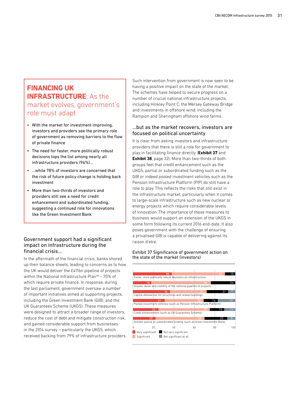## **FINANCING UK INFRASTRUCTURE: As the** market evolves, government's role must adapt

- With the market for investment improving, investors and providers see the primary role of government as removing barriers to the flow of private finance
- The need for faster, more politically robust decisions tops the list among nearly all infrastructure providers (96%)…
- …while 78% of investors are concerned that the risk of future policy change is holding back investment
- More than two-thirds of investors and providers still see a need for credit enhancement and subordinated funding, suggesting a continued role for innovations like the Green Investment Bank

#### Government support had a significant impact on infrastructure during the financial crisis…

In the aftermath of the financial crisis, banks shored up their balance sheets, leading to concerns as to how the UK would deliver the £411bn pipeline of projects within the National Infrastructure Plan $^{28}$  – 70% of which require private finance. In response, during the last parliament, government oversaw a number of important initiatives aimed at supporting projects, including the Green Investment Bank (GIB), and the UK Guarantees Scheme (UKGS). These measures were designed to attract a broader range of investors, reduce the cost of debt and mitigate construction risk, and gained considerable support from businesses in the 2014 survey – particularly the UKGS, which received backing from 79% of infrastructure providers. Such intervention from government is now seen to be having a positive impact on the state of the market. The schemes have helped to secure progress on a number of crucial national infrastructure projects, including Hinkley Point C, the Mersey Gateway Bridge and investments in offshore wind, including the Rampion and Sheringham offshore wind farms.

#### …but as the market recovers, investors are focused on political uncertainty

It is clear from asking investors and infrastructure providers that there is still a role for government to play in facilitating finance directly (**Exhibit 37** and **Exhibit 38**, page 32). More than two-thirds of both groups feel that credit enhancement such as the UKGS, partial or subordinated funding such as the GIB or indeed pooled investment vehicles such as the Pension Infrastructure Platform (PIP) do still have a role to play. This reflects the risks that still exist in the infrastructure market, particularly when it comes to large-scale infrastructure such as new nuclear or energy projects which require considerable levels of innovation. The importance of these measures to business would support an extension of the UKGS in some form following its current 2016 end-date. It also poses government with the challenge of ensuring a privatised GIB is capable of delivering against its raison d'etre.

#### Exhibit 37 Significance of government action on the state of the market (investors)

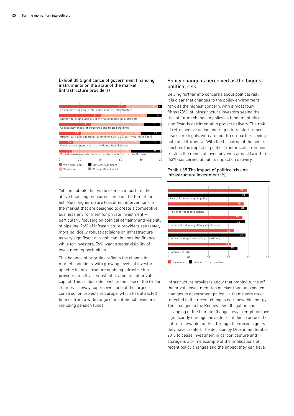#### Exhibit 38 Significance of government financing instruments on the state of the market (infrastructure providers)



Yet it is notable that while seen as important, the above financing measures come out bottom of the list. Much higher up are less direct interventions in the market that are designed to create a competitive business environment for private investment – particularly focusing on political certainty and visibility of pipeline. 96% of infrastructure providers see faster, more politically robust decisions on infrastructure as very significant or significant in boosting finance, while for investors, 76% want greater visibility of investment opportunities.

This balance of priorities reflects the change in market conditions, with growing levels of investor appetite in infrastructure enabling infrastructure providers to attract substantial amounts of private capital. This is illustrated well in the case of the £4.2bn Thames Tideway supersewer, one of the largest construction projects in Europe, which has attracted finance from a wide range of institutional investors, including pension funds.

#### Policy change is perceived as the biggest political risk

Delving further into concerns about political risk, it is clear that changes to the policy environment rank as the highest concern, with almost fourfifths (78%) of infrastructure investors seeing the risk of future change in policy as fundamentally or significantly detrimental to project delivery. The risk of retrospective action and regulatory interference also score highly, with around three-quarters seeing both as detrimental. With the backdrop of the general election, the impact of political rhetoric also remains fresh in the minds of investors, with almost two-thirds (63%) concerned about its impact on delivery.

#### Exhibit 39 The impact of political risk on infrastructure investment (%)



Infrastructure providers know that nothing turns off the private investment tap quicker than unexpected changes to government policy – a theme very much reflected in the recent changes on renewable energy. The changes to the Renewables Obligation and scrapping of the Climate Change Levy exemption have significantly damaged investor confidence across the entire renewable market, through the mixed signals they have created. The decision by Drax in September 2015 to cease investment in carbon capture and storage is a prime example of the implications of recent policy changes and the impact they can have.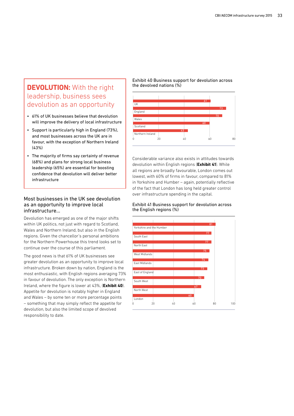## **DEVOLUTION:** With the right leadership, business sees devolution as an opportunity

- 61% of UK businesses believe that devolution will improve the delivery of local infrastructure
- Support is particularly high in England (73%), and most businesses across the UK are in favour, with the exception of Northern Ireland  $(43%$
- The majority of firms say certainty of revenue (68%) and plans for strong local business leadership (65%) are essential for boosting confidence that devolution will deliver better infrastructure

#### Most businesses in the UK see devolution as an opportunity to improve local infrastructure…

Devolution has emerged as one of the major shifts within UK politics, not just with regard to Scotland, Wales and Northern Ireland, but also in the English regions. Given the chancellor's personal ambitions for the Northern Powerhouse this trend looks set to continue over the course of this parliament.

The good news is that 61% of UK businesses see greater devolution as an opportunity to improve local infrastructure. Broken down by nation, England is the most enthusiastic, with English regions averaging 73% in favour of devolution. The only exception is Northern Ireland, where the figure is lower at 43%, (**Exhibit 40**). Appetite for devolution is notably higher in England and Wales – by some ten or more percentage points – something that may simply reflect the appetite for devolution, but also the limited scope of devolved responsibility to date.

Exhibit 40 Business support for devolution across the devolved nations (%)



Considerable variance also exists in attitudes towards devolution within English regions (**Exhibit 41**). While all regions are broadly favourable, London comes out lowest, with 60% of firms in favour, compared to 81% in Yorkshire and Humber – again, potentially reflective of the fact that London has long held greater control over infrastructure spending in the capital.

#### Exhibit 41 Business support for devolution across the English regions (%)

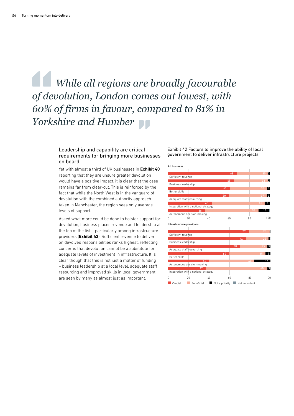# *While all regions are broadly favourable of devolution, London comes out lowest, with 60% of firms in favour, compared to 81% in Yorkshire and Humber*

#### Leadership and capability are critical requirements for bringing more businesses on board

Yet with almost a third of UK businesses in **Exhibit 40** reporting that they are unsure greater devolution would have a positive impact, it is clear that the case remains far from clear-cut. This is reinforced by the fact that while the North West is in the vanguard of devolution with the combined authority approach taken in Manchester, the region sees only average levels of support.

Asked what more could be done to bolster support for devolution, business places revenue and leadership at the top of the list – particularly among infrastructure providers (**Exhibit 42**). Sufficient revenue to deliver on devolved responsibilities ranks highest, reflecting concerns that devolution cannot be a substitute for adequate levels of investment in infrastructure. It is clear though that this is not just a matter of funding – business leadership at a local level, adequate staff resourcing and improved skills in local government are seen by many as almost just as important.

Exhibit 42 Factors to improve the ability of local government to deliver infrastructure projects

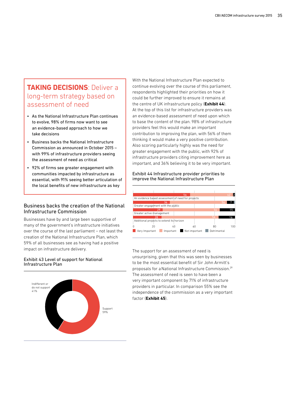## **TAKING DECISIONS**: Deliver a long-term strategy based on assessment of need

- As the National Infrastructure Plan continues to evolve, 98% of firms now want to see an evidence-based approach to how we take decisions
- Business backs the National Infrastructure Commission as announced in October 2015 – with 99% of infrastructure providers seeing the assessment of need as critical
- 92% of firms see greater engagement with communities impacted by infrastructure as essential, with 91% seeing better articulation of the local benefits of new infrastructure as key

#### Business backs the creation of the National Infrastructure Commission

Businesses have by and large been supportive of many of the government's infrastructure initiatives over the course of the last parliament – not least the creation of the National Infrastructure Plan, which 59% of all businesses see as having had a positive impact on infrastructure delivery.

#### Exhibit 43 Level of support for National Infrastructure Plan



With the National Infrastructure Plan expected to continue evolving over the course of this parliament, respondents highlighted their priorities on how it could be further improved to ensure it remains at the centre of UK infrastructure policy (**Exhibit 44**). At the top of this list for infrastructure providers was an evidence-based assessment of need upon which to base the content of the plan. 98% of infrastructure providers feel this would make an important contribution to improving the plan, with 56% of them thinking it would make a very positive contribution. Also scoring particularly highly was the need for greater engagement with the public, with 92% of infrastructure providers citing improvement here as important, and 36% believing it to be very important.

#### Exhibit 44 Infrastructure provider priorities to improve the National Infrastructure Plan



The support for an assessment of need is unsurprising, given that this was seen by businesses to be the most essential benefit of Sir John Armitt's proposals for aNational Infrastructure Commission.29 The assessment of need is seen to have been a very important component by 71% of infrastructure providers in particular. In comparison 55% see the independence of the commission as a very important factor (**Exhibit 45**).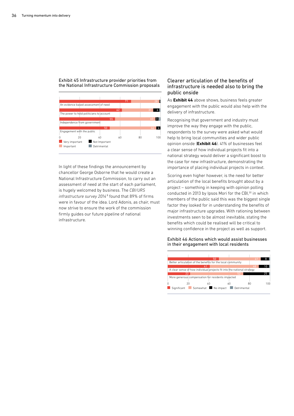Exhibit 45 Infrastructure provider priorities from the National Infrastructure Commission proposals



In light of these findings the announcement by chancellor George Osborne that he would create a National Infrastructure Commission, to carry out an assessment of need at the start of each parliament, is hugely welcomed by business. The *CBI/URS*  infrastructure survey 2014<sup>8</sup> found that 89% of firms were in favour of the idea. Lord Adonis, as chair, must now strive to ensure the work of the commission firmly guides our future pipeline of national infrastructure.

#### Clearer articulation of the benefits of infrastructure is needed also to bring the public onside

As **Exhibit 44** above shows, business feels greater engagement with the public would also help with the delivery of infrastructure.

Recognising that government and industry must improve the way they engage with the public, respondents to the survey were asked what would help to bring local communities and wider public opinion onside (**Exhibit 46**). 41% of businesses feel a clear sense of how individual projects fit into a national strategy would deliver a significant boost to the case for new infrastructure, demonstrating the importance of placing individual projects in context.

Scoring even higher however, is the need for better articulation of the local benefits brought about by a project – something in keeping with opinion polling conducted in 2013 by Ipsos Mori for the CBI,<sup>30</sup> in which members of the public said this was the biggest single factor they looked for in understanding the benefits of major infrastructure upgrades. With rationing between investments seen to be almost inevitable, stating the benefits which could be realised will be critical to winning confidence in the project as well as support.

#### Exhibit 46 Actions which would assist businesses in their engagement with local residents

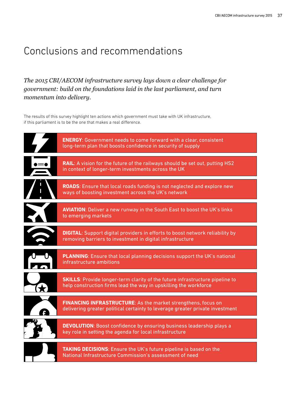# Conclusions and recommendations

*The 2015 CBI/AECOM infrastructure survey lays down a clear challenge for government: build on the foundations laid in the last parliament, and turn momentum into delivery.*

The results of this survey highlight ten actions which government must take with UK infrastructure, if this parliament is to be the one that makes a real difference.

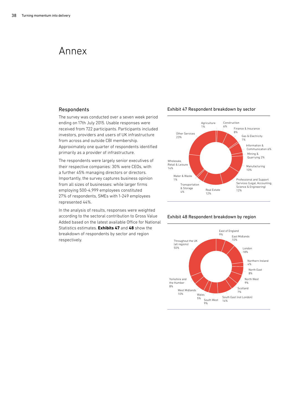## Annex

#### Respondents

The survey was conducted over a seven week period ending on 17th July 2015. Usable responses were received from 722 participants. Participants included investors, providers and users of UK infrastructure from across and outside CBI membership. Approximately one quarter of respondents identified primarily as a provider of infrastructure.

The respondents were largely senior executives of their respective companies: 30% were CEOs, with a further 45% managing directors or directors. Importantly, the survey captures business opinion from all sizes of businesses: while larger firms employing 500-4,999 employees constituted 27% of respondents, SMEs with 1-249 employees represented 44%.

In the analysis of results, responses were weighted according to the sectoral contribution to Gross Value Added based on the latest available Office for National Statistics estimates. **Exhibits 47** and **48** show the breakdown of respondents by sector and region respectively.

#### Exhibit 47 Respondent breakdown by sector



Exhibit 48 Respondent breakdown by region

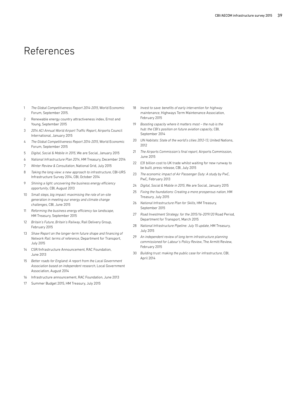# References

- 1 *The Global Competitiveness Report 2014-2015*, World Economic Forum, September 2015.
- 2 Renewable energy country attractiveness index, Ernst and Young, September 2015
- 3 *2014 ACI Annual World Airport Traffic Report*, Airports Council International, January 2015
- 4 *The Global Competitiveness Report 2014-2015*, World Economic Forum, September 2015
- 5 *Digital, Social & Mobile in 2015*, We are Social, January 2015
- 6 *National Infrastructure Plan 2014*, HM Treasury, December 2014
- 7 *Winter Review & Consultation*, National Grid, July 2015
- 8 *Taking the long view: a new approach to infrastructure*, CBI-URS Infrastructure Survey 2014, CBI, October 2014
- 9 *Shining a light: uncovering the business energy efficiency opportunity*, CBI, August 2013
- 10 *Small steps, big impact: maximising the role of on-site generation in meeting our energy and climate change challenges*, CBI, June 2015
- 11 *Reforming the business energy efficiency tax landscape*, HM Treasury, September 2015
- 12 *Britain's Future, Britain's Railway*, Rail Delivery Group, February 2015
- 13 *Shaw Report on the longer-term future shape and financing of Network Rail: terms of reference*, Department for Transport, July 2015
- 14 CSR/Infrastructure Announcement, RAC Foundation, June 2013
- 15 *Better roads for England: A report from the Local Government Association based on independent research*, Local Government Association, August 2014
- 16 Infrastructure announcement, RAC Foundation, June 2013
- 17 Summer Budget 2015, HM Treasury, July 2015
- 18 *Invest to save: benefits of early intervention for highway maintenance*, Highways Term Maintenance Association, February 2015
- 19 *Boosting capacity where it matters most the nub is the hub: the CBI's position on future aviation capacity*, CBI, September 2014
- 20 *UN Habitats: State of the world's cities 2012-13*, United Nations, 2012
- 21 *The Airports Commission's final report*, Airports Commission, June 2015
- 22 £31 billion cost to UK trade whilst waiting for new runway to be built, press release, CBI, July 2015
- 23 *The economic impact of Air Passenger Duty: A study by PwC*, PwC, February 2013
- 24 *Digital, Social & Mobile in 2015*, We are Social, January 2015
- 25 *Fixing the foundations: Creating a more prosperous nation*, HM Treasury, July 2015
- 26 *National Infrastructure Plan for Skills*, HM Treasury, September 2015
- 27 *Road Investment Strategy: for the 2015/16-2019/20* Road Period, Department for Transport, March 2015
- 28 *National Infrastructure Pipeline: July 15 update*, HM Treasury, July 2015
- 29 *An independent review of long term infrastructure planning commissioned for Labour's Policy Review*, The Armitt Review, February 2015
- 30 *Building trust: making the public case for infrastructure*, CBI, April 2014